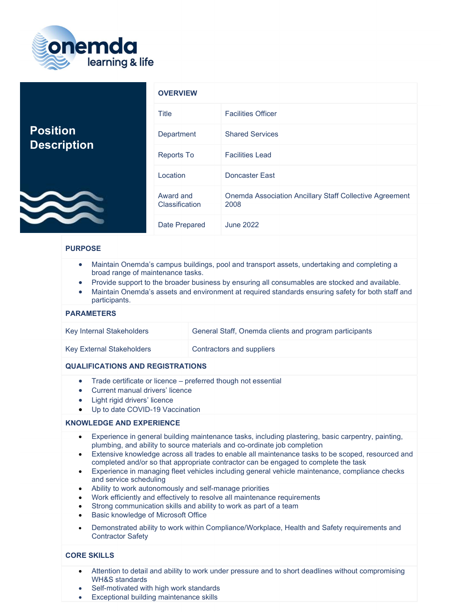

|                                       | <b>OVERVIEW</b>             |                                                                        |
|---------------------------------------|-----------------------------|------------------------------------------------------------------------|
| <b>Position</b><br><b>Description</b> | Title                       | <b>Facilities Officer</b>                                              |
|                                       | Department                  | <b>Shared Services</b>                                                 |
|                                       | <b>Reports To</b>           | <b>Facilities Lead</b>                                                 |
|                                       | Location                    | Doncaster East                                                         |
|                                       | Award and<br>Classification | <b>Onemda Association Ancillary Staff Collective Agreement</b><br>2008 |
|                                       | Date Prepared               | <b>June 2022</b>                                                       |

# PURPOSE

- Maintain Onemda's campus buildings, pool and transport assets, undertaking and completing a broad range of maintenance tasks.
- Provide support to the broader business by ensuring all consumables are stocked and available.
- Maintain Onemda's assets and environment at required standards ensuring safety for both staff and participants.

#### PARAMETERS

| Key Internal Stakeholders        | General Staff, Onemda clients and program participants |
|----------------------------------|--------------------------------------------------------|
| <b>Key External Stakeholders</b> | Contractors and suppliers                              |

#### QUALIFICATIONS AND REGISTRATIONS

- Trade certificate or licence preferred though not essential
- Current manual drivers' licence
- Light rigid drivers' licence
- Up to date COVID-19 Vaccination

#### KNOWLEDGE AND EXPERIENCE

- Experience in general building maintenance tasks, including plastering, basic carpentry, painting, plumbing, and ability to source materials and co-ordinate job completion
- Extensive knowledge across all trades to enable all maintenance tasks to be scoped, resourced and completed and/or so that appropriate contractor can be engaged to complete the task
- Experience in managing fleet vehicles including general vehicle maintenance, compliance checks and service scheduling
- Ability to work autonomously and self-manage priorities
- Work efficiently and effectively to resolve all maintenance requirements
- Strong communication skills and ability to work as part of a team
- Basic knowledge of Microsoft Office
- Demonstrated ability to work within Compliance/Workplace, Health and Safety requirements and Contractor Safety

## CORE SKILLS

- Attention to detail and ability to work under pressure and to short deadlines without compromising WH&S standards
- Self-motivated with high work standards
- Exceptional building maintenance skills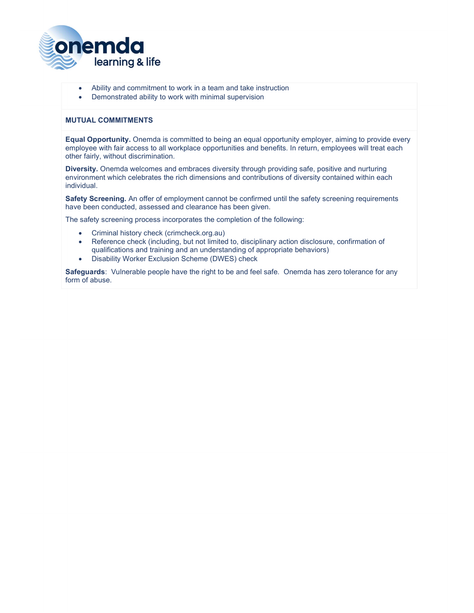

- Ability and commitment to work in a team and take instruction
- Demonstrated ability to work with minimal supervision

## MUTUAL COMMITMENTS

Equal Opportunity. Onemda is committed to being an equal opportunity employer, aiming to provide every employee with fair access to all workplace opportunities and benefits. In return, employees will treat each other fairly, without discrimination.

Diversity. Onemda welcomes and embraces diversity through providing safe, positive and nurturing environment which celebrates the rich dimensions and contributions of diversity contained within each individual.

Safety Screening. An offer of employment cannot be confirmed until the safety screening requirements have been conducted, assessed and clearance has been given.

The safety screening process incorporates the completion of the following:

- Criminal history check (crimcheck.org.au)
- Reference check (including, but not limited to, disciplinary action disclosure, confirmation of qualifications and training and an understanding of appropriate behaviors)
- Disability Worker Exclusion Scheme (DWES) check

Safeguards: Vulnerable people have the right to be and feel safe. Onemda has zero tolerance for any form of abuse.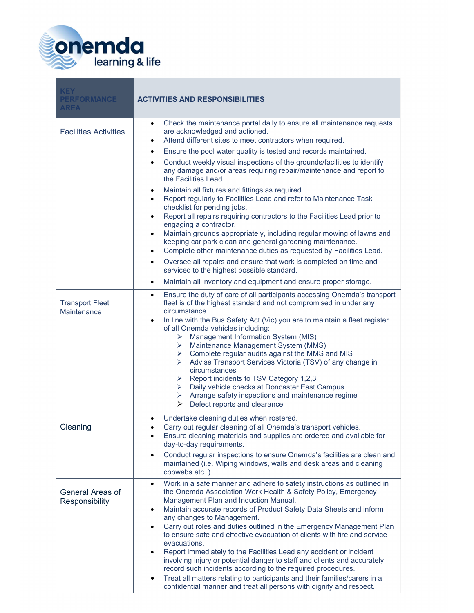

| <b>KEY</b><br><b>PERFORMANCE</b><br><b>AREA</b> | <b>ACTIVITIES AND RESPONSIBILITIES</b>                                                                                                                                                                                                                                                                                                                                                                                                                                                                                                                                                                                                                                                                                                                                                                                                                                                                                                                                                                                                                                                                                                                                                         |
|-------------------------------------------------|------------------------------------------------------------------------------------------------------------------------------------------------------------------------------------------------------------------------------------------------------------------------------------------------------------------------------------------------------------------------------------------------------------------------------------------------------------------------------------------------------------------------------------------------------------------------------------------------------------------------------------------------------------------------------------------------------------------------------------------------------------------------------------------------------------------------------------------------------------------------------------------------------------------------------------------------------------------------------------------------------------------------------------------------------------------------------------------------------------------------------------------------------------------------------------------------|
| <b>Facilities Activities</b>                    | Check the maintenance portal daily to ensure all maintenance requests<br>$\bullet$<br>are acknowledged and actioned.<br>Attend different sites to meet contractors when required.<br>٠<br>Ensure the pool water quality is tested and records maintained.<br>$\bullet$<br>Conduct weekly visual inspections of the grounds/facilities to identify<br>$\bullet$<br>any damage and/or areas requiring repair/maintenance and report to<br>the Facilities Lead.<br>Maintain all fixtures and fittings as required.<br>٠<br>Report regularly to Facilities Lead and refer to Maintenance Task<br>$\bullet$<br>checklist for pending jobs.<br>Report all repairs requiring contractors to the Facilities Lead prior to<br>$\bullet$<br>engaging a contractor.<br>Maintain grounds appropriately, including regular mowing of lawns and<br>٠<br>keeping car park clean and general gardening maintenance.<br>Complete other maintenance duties as requested by Facilities Lead.<br>٠<br>Oversee all repairs and ensure that work is completed on time and<br>$\bullet$<br>serviced to the highest possible standard.<br>Maintain all inventory and equipment and ensure proper storage.<br>$\bullet$ |
| <b>Transport Fleet</b><br>Maintenance           | Ensure the duty of care of all participants accessing Onemda's transport<br>$\bullet$<br>fleet is of the highest standard and not compromised in under any<br>circumstance.<br>In line with the Bus Safety Act (Vic) you are to maintain a fleet register<br>of all Onemda vehicles including:<br>Management Information System (MIS)<br>≻<br>> Maintenance Management System (MMS)<br>$\triangleright$ Complete regular audits against the MMS and MIS<br>> Advise Transport Services Victoria (TSV) of any change in<br>circumstances<br>Report incidents to TSV Category 1,2,3<br>≻<br>Daily vehicle checks at Doncaster East Campus<br>➤<br>Arrange safety inspections and maintenance regime<br>≻<br>Defect reports and clearance<br>≻                                                                                                                                                                                                                                                                                                                                                                                                                                                    |
| Cleaning                                        | Undertake cleaning duties when rostered.<br>Carry out regular cleaning of all Onemda's transport vehicles.<br>Ensure cleaning materials and supplies are ordered and available for<br>day-to-day requirements.<br>Conduct regular inspections to ensure Onemda's facilities are clean and<br>$\bullet$<br>maintained (i.e. Wiping windows, walls and desk areas and cleaning<br>cobwebs etc)                                                                                                                                                                                                                                                                                                                                                                                                                                                                                                                                                                                                                                                                                                                                                                                                   |
| General Areas of<br>Responsibility              | Work in a safe manner and adhere to safety instructions as outlined in<br>$\bullet$<br>the Onemda Association Work Health & Safety Policy, Emergency<br>Management Plan and Induction Manual.<br>Maintain accurate records of Product Safety Data Sheets and inform<br>$\bullet$<br>any changes to Management.<br>Carry out roles and duties outlined in the Emergency Management Plan<br>$\bullet$<br>to ensure safe and effective evacuation of clients with fire and service<br>evacuations.<br>Report immediately to the Facilities Lead any accident or incident<br>$\bullet$<br>involving injury or potential danger to staff and clients and accurately<br>record such incidents according to the required procedures.<br>Treat all matters relating to participants and their families/carers in a<br>٠<br>confidential manner and treat all persons with dignity and respect.                                                                                                                                                                                                                                                                                                         |